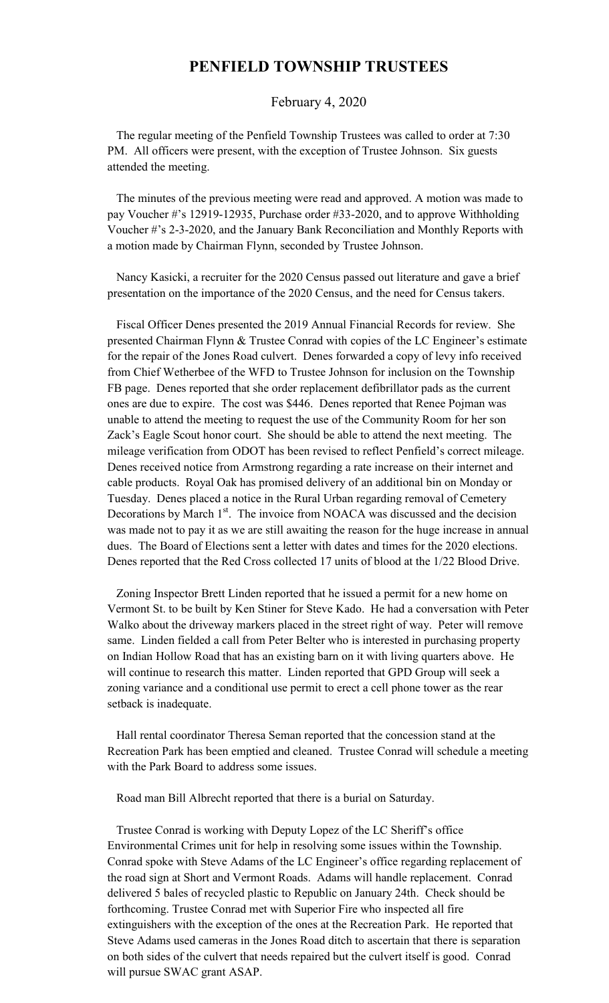## **PENFIELD TOWNSHIP TRUSTEES**

## February 4, 2020

 The regular meeting of the Penfield Township Trustees was called to order at 7:30 PM. All officers were present, with the exception of Trustee Johnson. Six guests attended the meeting.

 The minutes of the previous meeting were read and approved. A motion was made to pay Voucher #'s 12919-12935, Purchase order #33-2020, and to approve Withholding Voucher #'s 2-3-2020, and the January Bank Reconciliation and Monthly Reports with a motion made by Chairman Flynn, seconded by Trustee Johnson.

 Nancy Kasicki, a recruiter for the 2020 Census passed out literature and gave a brief presentation on the importance of the 2020 Census, and the need for Census takers.

 Fiscal Officer Denes presented the 2019 Annual Financial Records for review. She presented Chairman Flynn & Trustee Conrad with copies of the LC Engineer's estimate for the repair of the Jones Road culvert. Denes forwarded a copy of levy info received from Chief Wetherbee of the WFD to Trustee Johnson for inclusion on the Township FB page. Denes reported that she order replacement defibrillator pads as the current ones are due to expire. The cost was \$446. Denes reported that Renee Pojman was unable to attend the meeting to request the use of the Community Room for her son Zack's Eagle Scout honor court. She should be able to attend the next meeting. The mileage verification from ODOT has been revised to reflect Penfield's correct mileage. Denes received notice from Armstrong regarding a rate increase on their internet and cable products. Royal Oak has promised delivery of an additional bin on Monday or Tuesday. Denes placed a notice in the Rural Urban regarding removal of Cemetery Decorations by March 1<sup>st</sup>. The invoice from NOACA was discussed and the decision was made not to pay it as we are still awaiting the reason for the huge increase in annual dues. The Board of Elections sent a letter with dates and times for the 2020 elections. Denes reported that the Red Cross collected 17 units of blood at the 1/22 Blood Drive.

 Zoning Inspector Brett Linden reported that he issued a permit for a new home on Vermont St. to be built by Ken Stiner for Steve Kado. He had a conversation with Peter Walko about the driveway markers placed in the street right of way. Peter will remove same. Linden fielded a call from Peter Belter who is interested in purchasing property on Indian Hollow Road that has an existing barn on it with living quarters above. He will continue to research this matter. Linden reported that GPD Group will seek a zoning variance and a conditional use permit to erect a cell phone tower as the rear setback is inadequate.

 Hall rental coordinator Theresa Seman reported that the concession stand at the Recreation Park has been emptied and cleaned. Trustee Conrad will schedule a meeting with the Park Board to address some issues.

Road man Bill Albrecht reported that there is a burial on Saturday.

 Trustee Conrad is working with Deputy Lopez of the LC Sheriff's office Environmental Crimes unit for help in resolving some issues within the Township. Conrad spoke with Steve Adams of the LC Engineer's office regarding replacement of the road sign at Short and Vermont Roads. Adams will handle replacement. Conrad delivered 5 bales of recycled plastic to Republic on January 24th. Check should be forthcoming. Trustee Conrad met with Superior Fire who inspected all fire extinguishers with the exception of the ones at the Recreation Park. He reported that Steve Adams used cameras in the Jones Road ditch to ascertain that there is separation on both sides of the culvert that needs repaired but the culvert itself is good. Conrad will pursue SWAC grant ASAP.